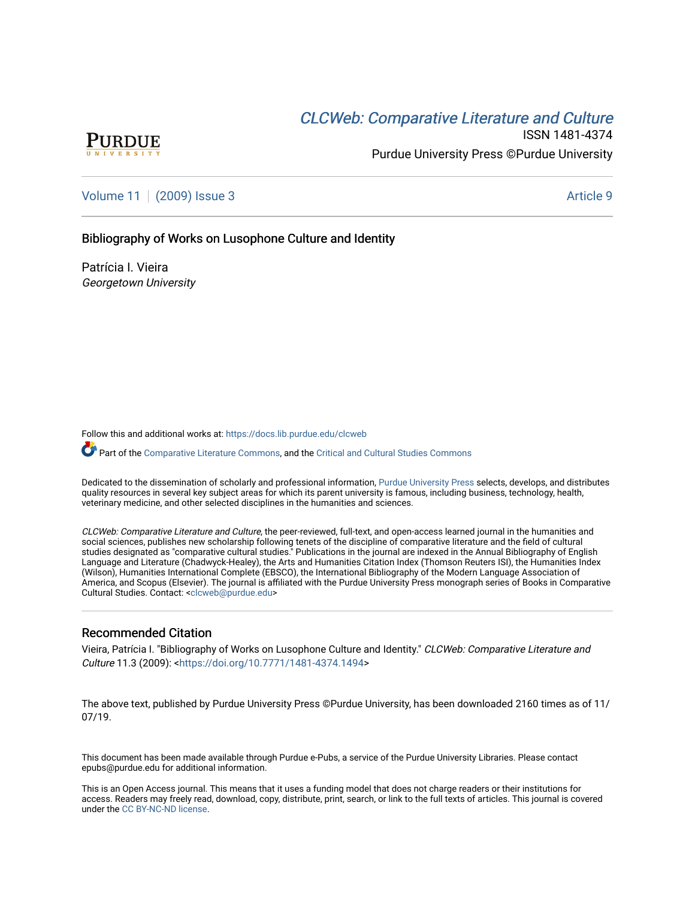# **CLCW[eb: Comparative Liter](https://docs.lib.purdue.edu/clcweb)ature and Culture**



ISSN 1481-4374 Purdue University Press ©Purdue University

[Volume 11](https://docs.lib.purdue.edu/clcweb/vol11) | [\(2009\) Issue 3](https://docs.lib.purdue.edu/clcweb/vol11/iss3) Article 9

Bibliography of Works on Lusophone Culture and Identity

Patrícia I. Vieira Georgetown University

Follow this and additional works at: [https://docs.lib.purdue.edu/clcweb](https://docs.lib.purdue.edu/clcweb?utm_source=docs.lib.purdue.edu%2Fclcweb%2Fvol11%2Fiss3%2F9&utm_medium=PDF&utm_campaign=PDFCoverPages)

Part of the [Comparative Literature Commons,](http://network.bepress.com/hgg/discipline/454?utm_source=docs.lib.purdue.edu%2Fclcweb%2Fvol11%2Fiss3%2F9&utm_medium=PDF&utm_campaign=PDFCoverPages) and the Critical and Cultural Studies Commons

Dedicated to the dissemination of scholarly and professional information, [Purdue University Press](http://www.thepress.purdue.edu/) selects, develops, and distributes quality resources in several key subject areas for which its parent university is famous, including business, technology, health, veterinary medicine, and other selected disciplines in the humanities and sciences.

CLCWeb: Comparative Literature and Culture, the peer-reviewed, full-text, and open-access learned journal in the humanities and social sciences, publishes new scholarship following tenets of the discipline of comparative literature and the field of cultural studies designated as "comparative cultural studies." Publications in the journal are indexed in the Annual Bibliography of English Language and Literature (Chadwyck-Healey), the Arts and Humanities Citation Index (Thomson Reuters ISI), the Humanities Index (Wilson), Humanities International Complete (EBSCO), the International Bibliography of the Modern Language Association of America, and Scopus (Elsevier). The journal is affiliated with the Purdue University Press monograph series of Books in Comparative Cultural Studies. Contact: [<clcweb@purdue.edu](mailto:clcweb@purdue.edu)>

### Recommended Citation

Vieira, Patrícia I. "Bibliography of Works on Lusophone Culture and Identity." CLCWeb: Comparative Literature and Culture 11.3 (2009): <[https://doi.org/10.7771/1481-4374.1494>](https://doi.org/10.7771/1481-4374.1494)

The above text, published by Purdue University Press ©Purdue University, has been downloaded 2160 times as of 11/ 07/19.

This document has been made available through Purdue e-Pubs, a service of the Purdue University Libraries. Please contact epubs@purdue.edu for additional information.

This is an Open Access journal. This means that it uses a funding model that does not charge readers or their institutions for access. Readers may freely read, download, copy, distribute, print, search, or link to the full texts of articles. This journal is covered under the [CC BY-NC-ND license.](https://creativecommons.org/licenses/by-nc-nd/4.0/)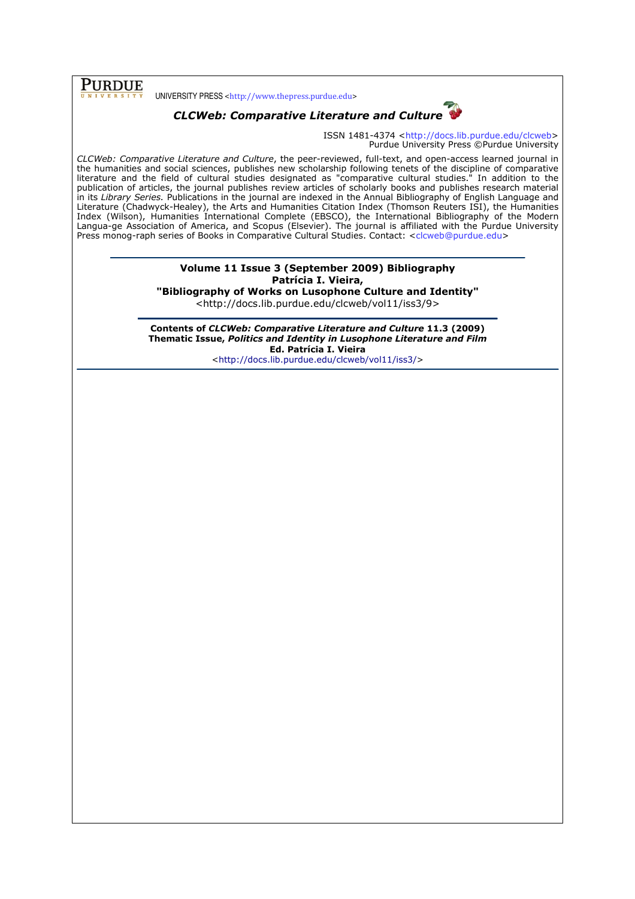## **PURDUE**

UNIVERSITY PRESS <http://www.thepress.purdue.edu>



ISSN 1481-4374 <http://docs.lib.purdue.edu/clcweb> Purdue University Press ©Purdue University

CLCWeb: Comparative Literature and Culture, the peer-reviewed, full-text, and open-access learned journal in the humanities and social sciences, publishes new scholarship following tenets of the discipline of comparative literature and the field of cultural studies designated as "comparative cultural studies." In addition to the publication of articles, the journal publishes review articles of scholarly books and publishes research material in its Library Series. Publications in the journal are indexed in the Annual Bibliography of English Language and Literature (Chadwyck-Healey), the Arts and Humanities Citation Index (Thomson Reuters ISI), the Humanities Index (Wilson), Humanities International Complete (EBSCO), the International Bibliography of the Modern Langua-ge Association of America, and Scopus (Elsevier). The journal is affiliated with the Purdue University Press monog-raph series of Books in Comparative Cultural Studies. Contact: <clcweb@purdue.edu>

## Volume 11 Issue 3 (September 2009) Bibliography Patrícia I. Vieira,

"Bibliography of Works on Lusophone Culture and Identity"

<http://docs.lib.purdue.edu/clcweb/vol11/iss3/9>

Contents of CLCWeb: Comparative Literature and Culture 11.3 (2009) Thematic Issue, Politics and Identity in Lusophone Literature and Film Ed. Patrícia I. Vieira <http://docs.lib.purdue.edu/clcweb/vol11/iss3/>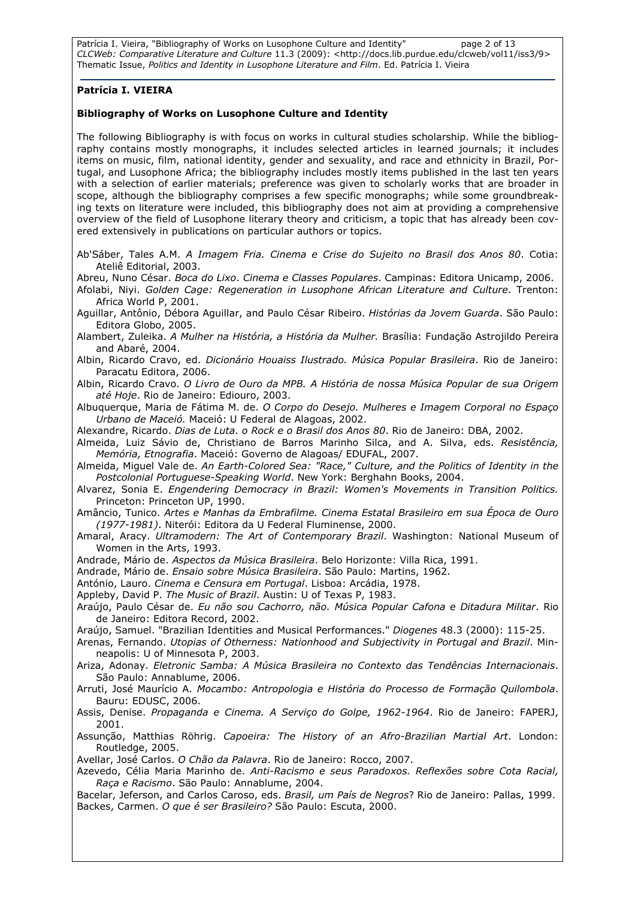Patrícia I. Vieira, "Bibliography of Works on Lusophone Culture and Identity" page 2 of 13 CLCWeb: Comparative Literature and Culture 11.3 (2009): <http://docs.lib.purdue.edu/clcweb/vol11/iss3/9> Thematic Issue, Politics and Identity in Lusophone Literature and Film. Ed. Patrícia I. Vieira

### Patrícia I. VIEIRA

#### Bibliography of Works on Lusophone Culture and Identity

The following Bibliography is with focus on works in cultural studies scholarship. While the bibliography contains mostly monographs, it includes selected articles in learned journals; it includes items on music, film, national identity, gender and sexuality, and race and ethnicity in Brazil, Portugal, and Lusophone Africa; the bibliography includes mostly items published in the last ten years with a selection of earlier materials; preference was given to scholarly works that are broader in scope, although the bibliography comprises a few specific monographs; while some groundbreaking texts on literature were included, this bibliography does not aim at providing a comprehensive overview of the field of Lusophone literary theory and criticism, a topic that has already been covered extensively in publications on particular authors or topics.

Ab'Sáber, Tales A.M. A Imagem Fria. Cinema e Crise do Sujeito no Brasil dos Anos 80. Cotia: Ateliê Editorial, 2003.

Abreu, Nuno César. Boca do Lixo. Cinema e Classes Populares. Campinas: Editora Unicamp, 2006.

Afolabi, Niyi. Golden Cage: Regeneration in Lusophone African Literature and Culture. Trenton: Africa World P, 2001.

Aguillar, Antônio, Débora Aguillar, and Paulo César Ribeiro. Histórias da Jovem Guarda. São Paulo: Editora Globo, 2005.

Alambert, Zuleika. A Mulher na História, a História da Mulher. Brasília: Fundação Astrojildo Pereira and Abaré, 2004.

Albin, Ricardo Cravo, ed. Dicionário Houaiss Ilustrado. Música Popular Brasileira. Rio de Janeiro: Paracatu Editora, 2006.

Albin, Ricardo Cravo. O Livro de Ouro da MPB. A História de nossa Música Popular de sua Origem até Hoje. Rio de Janeiro: Ediouro, 2003.

Albuquerque, Maria de Fátima M. de. O Corpo do Desejo. Mulheres e Imagem Corporal no Espaço Urbano de Maceió. Maceió: U Federal de Alagoas, 2002.

Alexandre, Ricardo. Dias de Luta. o Rock e o Brasil dos Anos 80. Rio de Janeiro: DBA, 2002.

Almeida, Luiz Sávio de, Christiano de Barros Marinho Silca, and A. Silva, eds. Resistência, Memória, Etnografia. Maceió: Governo de Alagoas/ EDUFAL, 2007.

Almeida, Miguel Vale de. An Earth-Colored Sea: "Race," Culture, and the Politics of Identity in the Postcolonial Portuguese-Speaking World. New York: Berghahn Books, 2004.

Alvarez, Sonia E. Engendering Democracy in Brazil: Women's Movements in Transition Politics. Princeton: Princeton UP, 1990.

Amâncio, Tunico. Artes e Manhas da Embrafilme. Cinema Estatal Brasileiro em sua Época de Ouro (1977-1981). Niterói: Editora da U Federal Fluminense, 2000.

Amaral, Aracy. Ultramodern: The Art of Contemporary Brazil. Washington: National Museum of Women in the Arts, 1993.

Andrade, Mário de. Aspectos da Música Brasileira. Belo Horizonte: Villa Rica, 1991.

Andrade, Mário de. Ensaio sobre Música Brasileira. São Paulo: Martins, 1962.

António, Lauro. Cinema e Censura em Portugal. Lisboa: Arcádia, 1978.

Appleby, David P. The Music of Brazil. Austin: U of Texas P, 1983.

Araújo, Paulo César de. Eu não sou Cachorro, não. Música Popular Cafona e Ditadura Militar. Rio de Janeiro: Editora Record, 2002.

Araújo, Samuel. "Brazilian Identities and Musical Performances." Diogenes 48.3 (2000): 115-25.

Arenas, Fernando. Utopias of Otherness: Nationhood and Subjectivity in Portugal and Brazil. Minneapolis: U of Minnesota P, 2003.

Ariza, Adonay. Eletronic Samba: A Música Brasileira no Contexto das Tendências Internacionais. São Paulo: Annablume, 2006.

Arruti, José Maurício A. Mocambo: Antropologia e História do Processo de Formação Quilombola. Bauru: EDUSC, 2006.

Assis, Denise. Propaganda e Cinema. A Serviço do Golpe, 1962-1964. Rio de Janeiro: FAPERJ, 2001.

Assunção, Matthias Röhrig. Capoeira: The History of an Afro-Brazilian Martial Art. London: Routledge, 2005.

Avellar, José Carlos. O Chão da Palavra. Rio de Janeiro: Rocco, 2007.

Azevedo, Célia Maria Marinho de. Anti-Racismo e seus Paradoxos. Reflexões sobre Cota Racial, Raça e Racismo. São Paulo: Annablume, 2004.

Bacelar, Jeferson, and Carlos Caroso, eds. Brasil, um País de Negros? Rio de Janeiro: Pallas, 1999. Backes, Carmen. O que é ser Brasileiro? São Paulo: Escuta, 2000.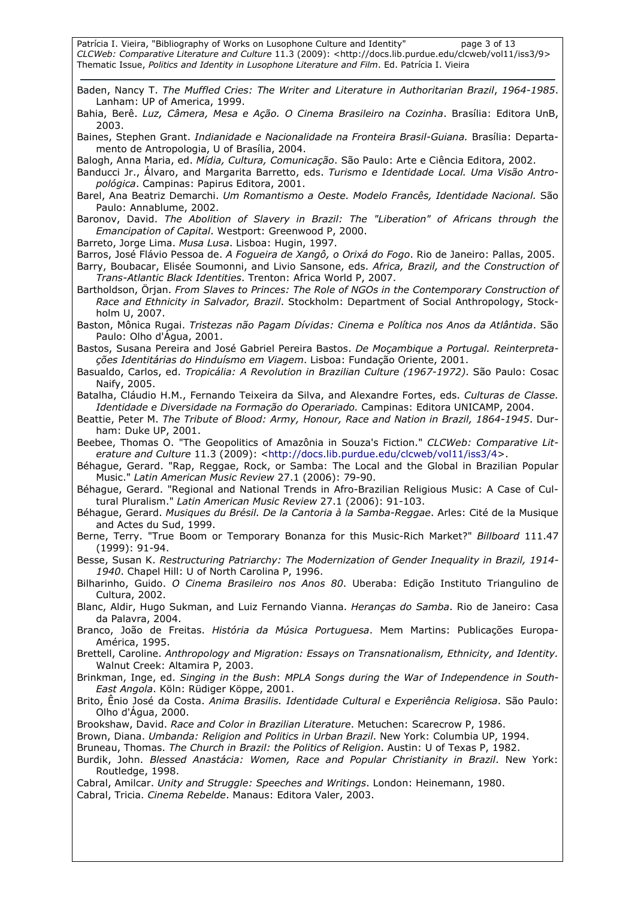Patrícia I. Vieira, "Bibliography of Works on Lusophone Culture and Identity" page 3 of 13 CLCWeb: Comparative Literature and Culture 11.3 (2009): <http://docs.lib.purdue.edu/clcweb/vol11/iss3/9> Thematic Issue, Politics and Identity in Lusophone Literature and Film. Ed. Patrícia I. Vieira

Baden, Nancy T. The Muffled Cries: The Writer and Literature in Authoritarian Brazil, 1964-1985. Lanham: UP of America, 1999.

Bahia, Berê. Luz, Câmera, Mesa e Ação. O Cinema Brasileiro na Cozinha. Brasília: Editora UnB, 2003.

Baines, Stephen Grant. *Indianidade e Nacionalidade na Fronteira Brasil-Guiana*. Brasília: Departamento de Antropologia, U of Brasília, 2004.

Balogh, Anna Maria, ed. Mídia, Cultura, Comunicação. São Paulo: Arte e Ciência Editora, 2002.

Banducci Jr., Álvaro, and Margarita Barretto, eds. Turismo e Identidade Local. Uma Visão Antropológica. Campinas: Papirus Editora, 2001.

Barel, Ana Beatriz Demarchi. Um Romantismo a Oeste. Modelo Francês, Identidade Nacional. São Paulo: Annablume, 2002.

Baronov, David. The Abolition of Slavery in Brazil: The "Liberation" of Africans through the Emancipation of Capital. Westport: Greenwood P, 2000.

Barreto, Jorge Lima. Musa Lusa. Lisboa: Hugin, 1997.

Barros, José Flávio Pessoa de. *A Fogueira de Xangô, o Orixá do Fogo*. Rio de Janeiro: Pallas, 2005.

Barry, Boubacar, Elisée Soumonni, and Livio Sansone, eds. Africa, Brazil, and the Construction of Trans-Atlantic Black Identities. Trenton: Africa World P, 2007.

Bartholdson, Örjan. From Slaves to Princes: The Role of NGOs in the Contemporary Construction of Race and Ethnicity in Salvador, Brazil. Stockholm: Department of Social Anthropology, Stockholm U, 2007.

Baston, Mônica Rugai. Tristezas não Pagam Dívidas: Cinema e Política nos Anos da Atlântida. São Paulo: Olho d'Água, 2001.

Bastos, Susana Pereira and José Gabriel Pereira Bastos. De Moçambique a Portugal. Reinterpretações Identitárias do Hinduísmo em Viagem. Lisboa: Fundação Oriente, 2001.

Basualdo, Carlos, ed. Tropicália: A Revolution in Brazilian Culture (1967-1972). São Paulo: Cosac Naify, 2005.

Batalha, Cláudio H.M., Fernando Teixeira da Silva, and Alexandre Fortes, eds. Culturas de Classe. Identidade e Diversidade na Formação do Operariado. Campinas: Editora UNICAMP, 2004.

Beattie, Peter M. The Tribute of Blood: Army, Honour, Race and Nation in Brazil, 1864-1945. Durham: Duke UP, 2001.

Beebee, Thomas O. "The Geopolitics of Amazônia in Souza's Fiction." CLCWeb: Comparative Literature and Culture 11.3 (2009): <http://docs.lib.purdue.edu/clcweb/vol11/iss3/4>.

Béhague, Gerard. "Rap, Reggae, Rock, or Samba: The Local and the Global in Brazilian Popular Music." Latin American Music Review 27.1 (2006): 79-90.

Béhague, Gerard. "Regional and National Trends in Afro-Brazilian Religious Music: A Case of Cultural Pluralism." Latin American Music Review 27.1 (2006): 91-103.

Béhague, Gerard. Musiques du Brésil. De la Cantoria à la Samba-Reggae. Arles: Cité de la Musique and Actes du Sud, 1999.

Berne, Terry. "True Boom or Temporary Bonanza for this Music-Rich Market?" Billboard 111.47 (1999): 91-94.

Besse, Susan K. Restructuring Patriarchy: The Modernization of Gender Inequality in Brazil, 1914- 1940. Chapel Hill: U of North Carolina P, 1996.

Bilharinho, Guido. O Cinema Brasileiro nos Anos 80. Uberaba: Edição Instituto Triangulino de Cultura, 2002.

Blanc, Aldir, Hugo Sukman, and Luiz Fernando Vianna. Heranças do Samba. Rio de Janeiro: Casa da Palavra, 2004.

Branco, João de Freitas. História da Música Portuguesa. Mem Martins: Publicações Europa-América, 1995.

Brettell, Caroline. Anthropology and Migration: Essays on Transnationalism, Ethnicity, and Identity. Walnut Creek: Altamira P, 2003.

Brinkman, Inge, ed. Singing in the Bush: MPLA Songs during the War of Independence in South-East Angola. Köln: Rüdiger Köppe, 2001.

Brito, Ênio José da Costa. Anima Brasilis. Identidade Cultural e Experiência Religiosa. São Paulo: Olho d'Água, 2000.

Brookshaw, David. Race and Color in Brazilian Literature. Metuchen: Scarecrow P, 1986.

Brown, Diana. Umbanda: Religion and Politics in Urban Brazil. New York: Columbia UP, 1994.

Bruneau, Thomas. The Church in Brazil: the Politics of Religion. Austin: U of Texas P, 1982.

Burdik, John. Blessed Anastácia: Women, Race and Popular Christianity in Brazil. New York: Routledge, 1998.

Cabral, Amilcar. Unity and Struggle: Speeches and Writings. London: Heinemann, 1980. Cabral, Tricia. Cinema Rebelde. Manaus: Editora Valer, 2003.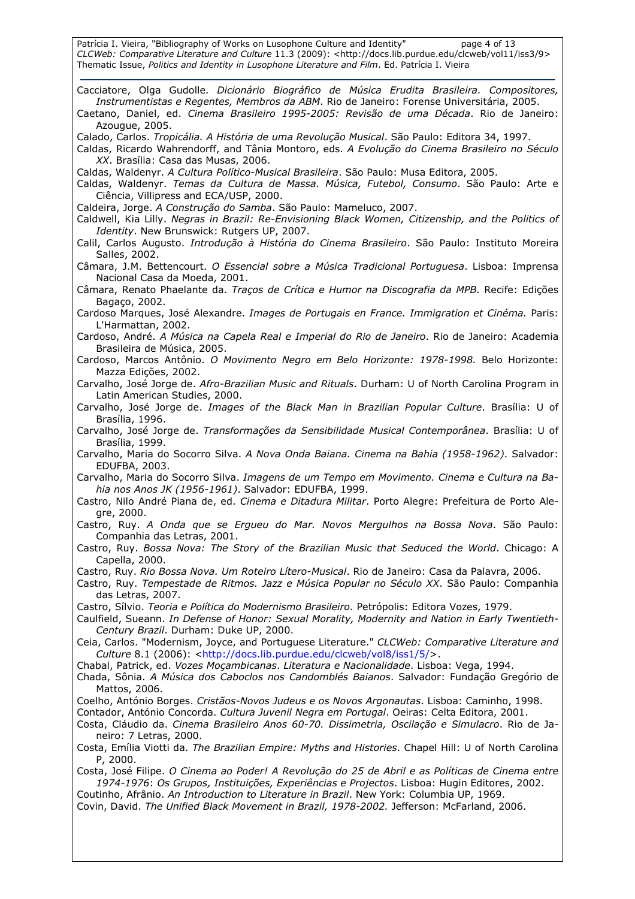Patrícia I. Vieira, "Bibliography of Works on Lusophone Culture and Identity" page 4 of 13 CLCWeb: Comparative Literature and Culture 11.3 (2009): <http://docs.lib.purdue.edu/clcweb/vol11/iss3/9> Thematic Issue, Politics and Identity in Lusophone Literature and Film. Ed. Patrícia I. Vieira

Cacciatore, Olga Gudolle. Dicionário Biográfico de Música Erudita Brasileira. Compositores, Instrumentistas e Regentes, Membros da ABM. Rio de Janeiro: Forense Universitária, 2005.

Caetano, Daniel, ed. Cinema Brasileiro 1995-2005: Revisão de uma Década. Rio de Janeiro: Azougue, 2005.

Calado, Carlos. Tropicália. A História de uma Revolução Musical. São Paulo: Editora 34, 1997.

Caldas, Ricardo Wahrendorff, and Tânia Montoro, eds. A Evolução do Cinema Brasileiro no Século XX. Brasília: Casa das Musas, 2006.

Caldas, Waldenyr. A Cultura Político-Musical Brasileira. São Paulo: Musa Editora, 2005.

Caldas, Waldenyr. Temas da Cultura de Massa. Música, Futebol, Consumo. São Paulo: Arte e Ciência, Villipress and ECA/USP, 2000.

Caldeira, Jorge. A Construção do Samba. São Paulo: Mameluco, 2007.

- Caldwell, Kia Lilly. Negras in Brazil: Re-Envisioning Black Women, Citizenship, and the Politics of Identity. New Brunswick: Rutgers UP, 2007.
- Calil, Carlos Augusto. Introdução à História do Cinema Brasileiro. São Paulo: Instituto Moreira Salles, 2002.
- Câmara, J.M. Bettencourt. O Essencial sobre a Música Tradicional Portuguesa. Lisboa: Imprensa Nacional Casa da Moeda, 2001.

Câmara, Renato Phaelante da. Traços de Crítica e Humor na Discografia da MPB. Recife: Edições Bagaço, 2002.

Cardoso Marques, José Alexandre. Images de Portugais en France. Immigration et Cinéma. Paris: L'Harmattan, 2002.

Cardoso, André. A Música na Capela Real e Imperial do Rio de Janeiro. Rio de Janeiro: Academia Brasileira de Música, 2005.

- Cardoso, Marcos Antônio. O Movimento Negro em Belo Horizonte: 1978-1998. Belo Horizonte: Mazza Edições, 2002.
- Carvalho, José Jorge de. Afro-Brazilian Music and Rituals. Durham: U of North Carolina Program in Latin American Studies, 2000.
- Carvalho, José Jorge de. Images of the Black Man in Brazilian Popular Culture. Brasília: U of Brasília, 1996.
- Carvalho, José Jorge de. Transformações da Sensibilidade Musical Contemporânea. Brasília: U of Brasília, 1999.
- Carvalho, Maria do Socorro Silva. A Nova Onda Baiana. Cinema na Bahia (1958-1962). Salvador: EDUFBA, 2003.

Carvalho, Maria do Socorro Silva. Imagens de um Tempo em Movimento. Cinema e Cultura na Bahia nos Anos JK (1956-1961). Salvador: EDUFBA, 1999.

- Castro, Nilo André Piana de, ed. Cinema e Ditadura Militar. Porto Alegre: Prefeitura de Porto Alegre, 2000.
- Castro, Ruy. A Onda que se Ergueu do Mar. Novos Mergulhos na Bossa Nova. São Paulo: Companhia das Letras, 2001.
- Castro, Ruy. Bossa Nova: The Story of the Brazilian Music that Seduced the World. Chicago: A Capella, 2000.
- Castro, Ruy. Rio Bossa Nova. Um Roteiro Lítero-Musical. Rio de Janeiro: Casa da Palavra, 2006.
- Castro, Ruy. Tempestade de Ritmos. Jazz e Música Popular no Século XX. São Paulo: Companhia das Letras, 2007.
- Castro, Sílvio. Teoria e Política do Modernismo Brasileiro. Petrópolis: Editora Vozes, 1979.
- Caulfield, Sueann. In Defense of Honor: Sexual Morality, Modernity and Nation in Early Twentieth-Century Brazil. Durham: Duke UP, 2000.

Ceia, Carlos. "Modernism, Joyce, and Portuguese Literature." CLCWeb: Comparative Literature and Culture 8.1 (2006): <http://docs.lib.purdue.edu/clcweb/vol8/iss1/5/>.

Chabal, Patrick, ed. Vozes Moçambicanas. Literatura e Nacionalidade. Lisboa: Vega, 1994.

- Chada, Sônia. A Música dos Caboclos nos Candomblés Baianos. Salvador: Fundação Gregório de Mattos, 2006.
- Coelho, António Borges. Cristãos-Novos Judeus e os Novos Argonautas. Lisboa: Caminho, 1998.

Contador, António Concorda. Cultura Juvenil Negra em Portugal. Oeiras: Celta Editora, 2001.

- Costa, Cláudio da. Cinema Brasileiro Anos 60-70. Dissimetria, Oscilação e Simulacro. Rio de Janeiro: 7 Letras, 2000.
- Costa, Emília Viotti da. The Brazilian Empire: Myths and Histories. Chapel Hill: U of North Carolina P, 2000.
- Costa, José Filipe. O Cinema ao Poder! A Revolução do 25 de Abril e as Políticas de Cinema entre 1974-1976: Os Grupos, Instituições, Experiências e Projectos. Lisboa: Hugin Editores, 2002.

Coutinho, Afrânio. An Introduction to Literature in Brazil. New York: Columbia UP, 1969.

Covin, David. The Unified Black Movement in Brazil, 1978-2002. Jefferson: McFarland, 2006.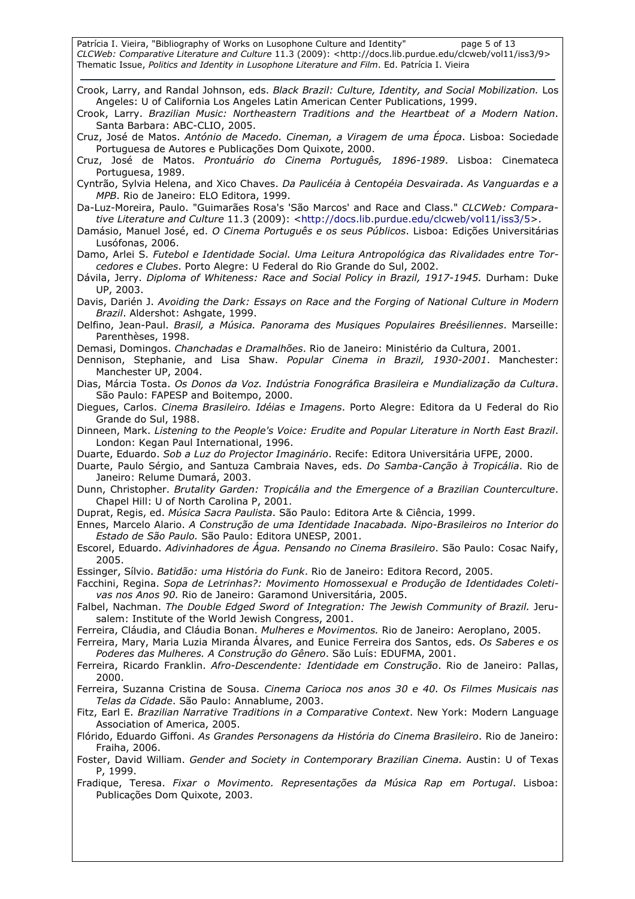Patrícia I. Vieira, "Bibliography of Works on Lusophone Culture and Identity" page 5 of 13 CLCWeb: Comparative Literature and Culture 11.3 (2009): <http://docs.lib.purdue.edu/clcweb/vol11/iss3/9> Thematic Issue, Politics and Identity in Lusophone Literature and Film. Ed. Patrícia I. Vieira

Crook, Larry, and Randal Johnson, eds. Black Brazil: Culture, Identity, and Social Mobilization. Los Angeles: U of California Los Angeles Latin American Center Publications, 1999.

- Crook, Larry. Brazilian Music: Northeastern Traditions and the Heartbeat of a Modern Nation. Santa Barbara: ABC-CLIO, 2005.
- Cruz, José de Matos. António de Macedo. Cineman, a Viragem de uma Época. Lisboa: Sociedade Portuguesa de Autores e Publicações Dom Quixote, 2000.
- Cruz, José de Matos. Prontuário do Cinema Português, 1896-1989. Lisboa: Cinemateca Portuguesa, 1989.
- Cyntrão, Sylvia Helena, and Xico Chaves. Da Paulicéia à Centopéia Desvairada. As Vanguardas e a MPB. Rio de Janeiro: ELO Editora, 1999.
- Da-Luz-Moreira, Paulo. "Guimarães Rosa's 'São Marcos' and Race and Class." CLCWeb: Comparative Literature and Culture 11.3 (2009): <http://docs.lib.purdue.edu/clcweb/vol11/iss3/5>.
- Damásio, Manuel José, ed. O Cinema Português e os seus Públicos. Lisboa: Edições Universitárias Lusófonas, 2006.
- Damo, Arlei S. Futebol e Identidade Social. Uma Leitura Antropológica das Rivalidades entre Torcedores e Clubes. Porto Alegre: U Federal do Rio Grande do Sul, 2002.
- Dávila, Jerry. Diploma of Whiteness: Race and Social Policy in Brazil, 1917-1945. Durham: Duke UP, 2003.
- Davis, Darién J. Avoiding the Dark: Essays on Race and the Forging of National Culture in Modern Brazil. Aldershot: Ashgate, 1999.
- Delfino, Jean-Paul. Brasil, a Música. Panorama des Musiques Populaires Breésiliennes. Marseille: Parenthèses, 1998.
- Demasi, Domingos. Chanchadas e Dramalhões. Rio de Janeiro: Ministério da Cultura, 2001.
- Dennison, Stephanie, and Lisa Shaw. Popular Cinema in Brazil, 1930-2001. Manchester: Manchester UP, 2004.
- Dias, Márcia Tosta. Os Donos da Voz. Indústria Fonográfica Brasileira e Mundialização da Cultura. São Paulo: FAPESP and Boitempo, 2000.
- Diegues, Carlos. Cinema Brasileiro. Idéias e Imagens. Porto Alegre: Editora da U Federal do Rio Grande do Sul, 1988.
- Dinneen, Mark. Listening to the People's Voice: Erudite and Popular Literature in North East Brazil. London: Kegan Paul International, 1996.
- Duarte, Eduardo. Sob a Luz do Projector Imaginário. Recife: Editora Universitária UFPE, 2000.
- Duarte, Paulo Sérgio, and Santuza Cambraia Naves, eds. Do Samba-Canção à Tropicália. Rio de Janeiro: Relume Dumará, 2003.
- Dunn, Christopher. Brutality Garden: Tropicália and the Emergence of a Brazilian Counterculture. Chapel Hill: U of North Carolina P, 2001.
- Duprat, Regis, ed. Música Sacra Paulista. São Paulo: Editora Arte & Ciência, 1999.
- Ennes, Marcelo Alario. A Construção de uma Identidade Inacabada. Nipo-Brasileiros no Interior do Estado de São Paulo. São Paulo: Editora UNESP, 2001.
- Escorel, Eduardo. Adivinhadores de Água. Pensando no Cinema Brasileiro. São Paulo: Cosac Naify, 2005.
- Essinger, Sílvio. Batidão: uma História do Funk. Rio de Janeiro: Editora Record, 2005.
- Facchini, Regina. Sopa de Letrinhas?: Movimento Homossexual e Produção de Identidades Coletivas nos Anos 90. Rio de Janeiro: Garamond Universitária, 2005.
- Falbel, Nachman. The Double Edged Sword of Integration: The Jewish Community of Brazil. Jerusalem: Institute of the World Jewish Congress, 2001.
- Ferreira, Cláudia, and Cláudia Bonan. Mulheres e Movimentos. Rio de Janeiro: Aeroplano, 2005.
- Ferreira, Mary, Maria Luzia Miranda Álvares, and Eunice Ferreira dos Santos, eds. Os Saberes e os Poderes das Mulheres. A Construção do Gênero. São Luís: EDUFMA, 2001.
- Ferreira, Ricardo Franklin. Afro-Descendente: Identidade em Construção. Rio de Janeiro: Pallas, 2000.
- Ferreira, Suzanna Cristina de Sousa. Cinema Carioca nos anos 30 e 40. Os Filmes Musicais nas Telas da Cidade. São Paulo: Annablume, 2003.
- Fitz, Earl E. Brazilian Narrative Traditions in a Comparative Context. New York: Modern Language Association of America, 2005.
- Flórido, Eduardo Giffoni. As Grandes Personagens da História do Cinema Brasileiro. Rio de Janeiro: Fraiha, 2006.
- Foster, David William. Gender and Society in Contemporary Brazilian Cinema. Austin: U of Texas P, 1999.
- Fradique, Teresa. Fixar o Movimento. Representações da Música Rap em Portugal. Lisboa: Publicações Dom Quixote, 2003.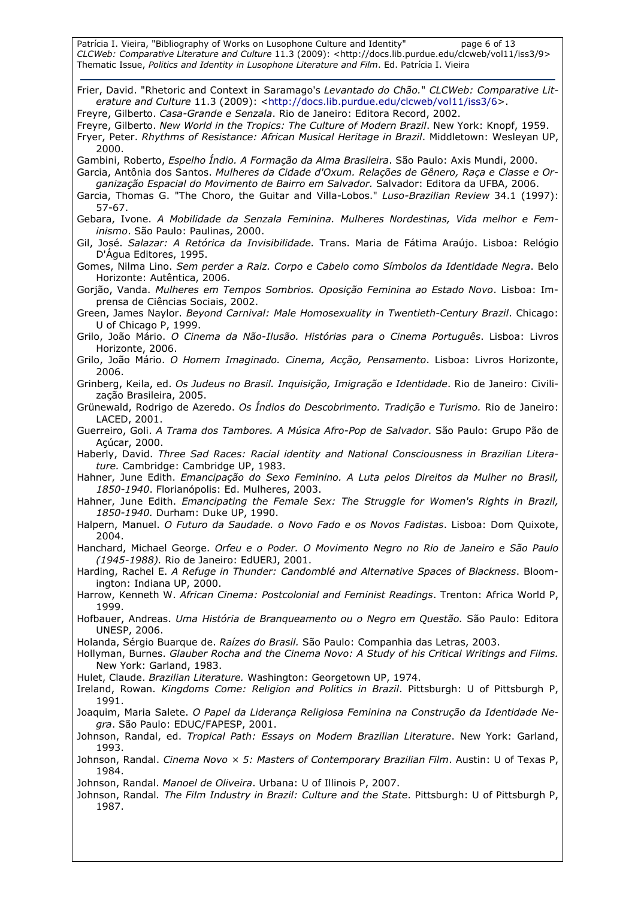Patrícia I. Vieira, "Bibliography of Works on Lusophone Culture and Identity" page 6 of 13 CLCWeb: Comparative Literature and Culture 11.3 (2009): <http://docs.lib.purdue.edu/clcweb/vol11/iss3/9> Thematic Issue, Politics and Identity in Lusophone Literature and Film. Ed. Patrícia I. Vieira

Frier, David. "Rhetoric and Context in Saramago's Levantado do Chão." CLCWeb: Comparative Literature and Culture 11.3 (2009): <http://docs.lib.purdue.edu/clcweb/vol11/iss3/6>.

Freyre, Gilberto. Casa-Grande e Senzala. Rio de Janeiro: Editora Record, 2002.

Freyre, Gilberto. New World in the Tropics: The Culture of Modern Brazil. New York: Knopf, 1959. Fryer, Peter. Rhythms of Resistance: African Musical Heritage in Brazil. Middletown: Wesleyan UP, 2000.

Gambini, Roberto, Espelho Índio. A Formação da Alma Brasileira. São Paulo: Axis Mundi, 2000.

Garcia, Antônia dos Santos. Mulheres da Cidade d'Oxum. Relações de Gênero, Raça e Classe e Organização Espacial do Movimento de Bairro em Salvador. Salvador: Editora da UFBA, 2006.

Garcia, Thomas G. "The Choro, the Guitar and Villa-Lobos." Luso-Brazilian Review 34.1 (1997): 57-67.

Gebara, Ivone. A Mobilidade da Senzala Feminina. Mulheres Nordestinas, Vida melhor e Feminismo. São Paulo: Paulinas, 2000.

Gil, José. Salazar: A Retórica da Invisibilidade. Trans. Maria de Fátima Araújo. Lisboa: Relógio D'Água Editores, 1995.

Gomes, Nilma Lino. Sem perder a Raiz. Corpo e Cabelo como Símbolos da Identidade Negra. Belo Horizonte: Autêntica, 2006.

Gorjão, Vanda. Mulheres em Tempos Sombrios. Oposição Feminina ao Estado Novo. Lisboa: Imprensa de Ciências Sociais, 2002.

Green, James Naylor. Beyond Carnival: Male Homosexuality in Twentieth-Century Brazil. Chicago: U of Chicago P, 1999.

Grilo, João Mário. O Cinema da Não-Ilusão. Histórias para o Cinema Português. Lisboa: Livros Horizonte, 2006.

- Grilo, João Mário. O Homem Imaginado. Cinema, Acção, Pensamento. Lisboa: Livros Horizonte, 2006.
- Grinberg, Keila, ed. Os Judeus no Brasil. Inquisição, Imigração e Identidade. Rio de Janeiro: Civilização Brasileira, 2005.

Grünewald, Rodrigo de Azeredo. Os Índios do Descobrimento. Tradição e Turismo. Rio de Janeiro: LACED, 2001.

Guerreiro, Goli. A Trama dos Tambores. A Música Afro-Pop de Salvador. São Paulo: Grupo Pão de Açúcar, 2000.

Haberly, David. Three Sad Races: Racial identity and National Consciousness in Brazilian Literature. Cambridge: Cambridge UP, 1983.

Hahner, June Edith. Emancipação do Sexo Feminino. A Luta pelos Direitos da Mulher no Brasil, 1850-1940. Florianópolis: Ed. Mulheres, 2003.

Hahner, June Edith. Emancipating the Female Sex: The Struggle for Women's Rights in Brazil, 1850-1940. Durham: Duke UP, 1990.

Halpern, Manuel. O Futuro da Saudade. o Novo Fado e os Novos Fadistas. Lisboa: Dom Quixote, 2004.

Hanchard, Michael George. Orfeu e o Poder. O Movimento Negro no Rio de Janeiro e São Paulo (1945-1988). Rio de Janeiro: EdUERJ, 2001.

Harding, Rachel E. A Refuge in Thunder: Candomblé and Alternative Spaces of Blackness. Bloomington: Indiana UP, 2000.

Harrow, Kenneth W. African Cinema: Postcolonial and Feminist Readings. Trenton: Africa World P, 1999.

Hofbauer, Andreas. Uma História de Branqueamento ou o Negro em Questão. São Paulo: Editora UNESP, 2006.

Holanda, Sérgio Buarque de. Raízes do Brasil. São Paulo: Companhia das Letras, 2003.

Hollyman, Burnes. Glauber Rocha and the Cinema Novo: A Study of his Critical Writings and Films. New York: Garland, 1983.

Hulet, Claude. Brazilian Literature. Washington: Georgetown UP, 1974.

Ireland, Rowan. Kingdoms Come: Religion and Politics in Brazil. Pittsburgh: U of Pittsburgh P, 1991.

Joaquim, Maria Salete. O Papel da Liderança Religiosa Feminina na Construção da Identidade Negra. São Paulo: EDUC/FAPESP, 2001.

Johnson, Randal, ed. Tropical Path: Essays on Modern Brazilian Literature. New York: Garland, 1993.

Johnson, Randal. Cinema Novo  $\times$  5: Masters of Contemporary Brazilian Film. Austin: U of Texas P, 1984.

Johnson, Randal. Manoel de Oliveira. Urbana: U of Illinois P, 2007.

Johnson, Randal. The Film Industry in Brazil: Culture and the State. Pittsburgh: U of Pittsburgh P, 1987.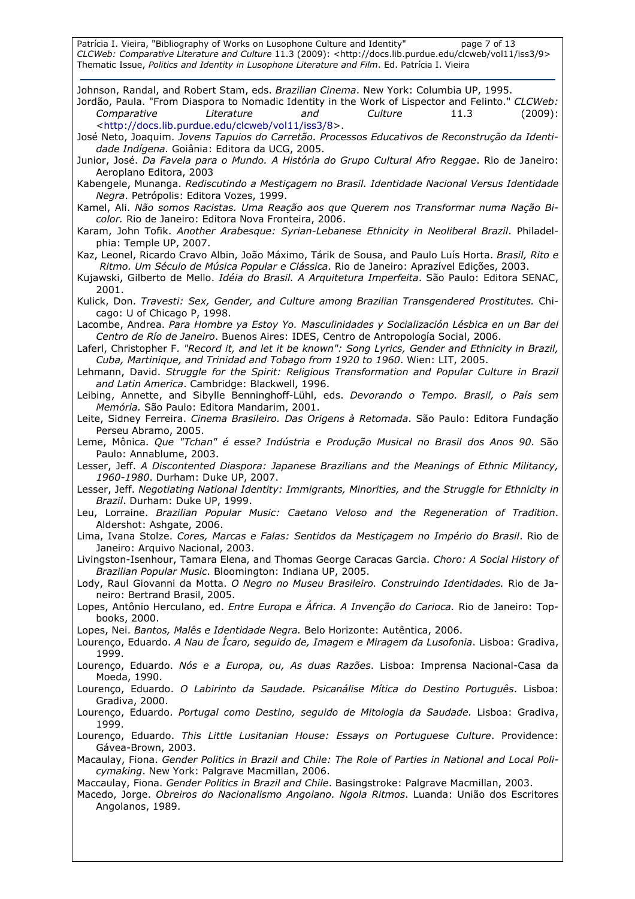Patrícia I. Vieira, "Bibliography of Works on Lusophone Culture and Identity" page 7 of 13 CLCWeb: Comparative Literature and Culture 11.3 (2009): <http://docs.lib.purdue.edu/clcweb/vol11/iss3/9> Thematic Issue, Politics and Identity in Lusophone Literature and Film. Ed. Patrícia I. Vieira

Johnson, Randal, and Robert Stam, eds. Brazilian Cinema. New York: Columbia UP, 1995. Jordão, Paula. "From Diaspora to Nomadic Identity in the Work of Lispector and Felinto." CLCWeb: Comparative Literature and Culture 11.3 (2009): <http://docs.lib.purdue.edu/clcweb/vol11/iss3/8>. José Neto, Joaquim. Jovens Tapuios do Carretão. Processos Educativos de Reconstrução da Identidade Indígena. Goiânia: Editora da UCG, 2005. Junior, José. Da Favela para o Mundo. A História do Grupo Cultural Afro Reggae. Rio de Janeiro: Aeroplano Editora, 2003 Kabengele, Munanga. Rediscutindo a Mestiçagem no Brasil. Identidade Nacional Versus Identidade Negra. Petrópolis: Editora Vozes, 1999. Kamel, Ali. Não somos Racistas. Uma Reação aos que Querem nos Transformar numa Nação Bicolor. Rio de Janeiro: Editora Nova Fronteira, 2006. Karam, John Tofik. Another Arabesque: Syrian-Lebanese Ethnicity in Neoliberal Brazil. Philadelphia: Temple UP, 2007. Kaz, Leonel, Ricardo Cravo Albin, João Máximo, Tárik de Sousa, and Paulo Luís Horta. Brasil, Rito e Ritmo. Um Século de Música Popular e Clássica. Rio de Janeiro: Aprazível Edições, 2003. Kujawski, Gilberto de Mello. Idéia do Brasil. A Arquitetura Imperfeita. São Paulo: Editora SENAC, 2001. Kulick, Don. Travesti: Sex, Gender, and Culture among Brazilian Transgendered Prostitutes. Chicago: U of Chicago P, 1998. Lacombe, Andrea. Para Hombre ya Estoy Yo. Masculinidades y Socialización Lésbica en un Bar del Centro de Río de Janeiro. Buenos Aires: IDES, Centro de Antropología Social, 2006. Laferl, Christopher F. "Record it, and let it be known": Song Lyrics, Gender and Ethnicity in Brazil, Cuba, Martinique, and Trinidad and Tobago from 1920 to 1960. Wien: LIT, 2005. Lehmann, David. Struggle for the Spirit: Religious Transformation and Popular Culture in Brazil and Latin America. Cambridge: Blackwell, 1996. Leibing, Annette, and Sibylle Benninghoff-Lühl, eds. Devorando o Tempo. Brasil, o País sem Memória. São Paulo: Editora Mandarim, 2001. Leite, Sidney Ferreira. Cinema Brasileiro. Das Origens à Retomada. São Paulo: Editora Fundação Perseu Abramo, 2005. Leme, Mônica. Que "Tchan" é esse? Indústria e Produção Musical no Brasil dos Anos 90. São Paulo: Annablume, 2003. Lesser, Jeff. A Discontented Diaspora: Japanese Brazilians and the Meanings of Ethnic Militancy, 1960-1980. Durham: Duke UP, 2007. Lesser, Jeff. Negotiating National Identity: Immigrants, Minorities, and the Struggle for Ethnicity in Brazil. Durham: Duke UP, 1999. Leu, Lorraine. Brazilian Popular Music: Caetano Veloso and the Regeneration of Tradition. Aldershot: Ashgate, 2006. Lima, Ivana Stolze. Cores, Marcas e Falas: Sentidos da Mestiçagem no Império do Brasil. Rio de Janeiro: Arquivo Nacional, 2003. Livingston-Isenhour, Tamara Elena, and Thomas George Caracas Garcia. Choro: A Social History of Brazilian Popular Music. Bloomington: Indiana UP, 2005. Lody, Raul Giovanni da Motta. O Negro no Museu Brasileiro. Construindo Identidades. Rio de Janeiro: Bertrand Brasil, 2005. Lopes, Antônio Herculano, ed. *Entre Europa e África. A Invenção do Carioca.* Rio de Janeiro: Topbooks, 2000. Lopes, Nei. Bantos, Malês e Identidade Negra. Belo Horizonte: Autêntica, 2006. Lourenço, Eduardo. A Nau de Ícaro, seguido de, Imagem e Miragem da Lusofonia. Lisboa: Gradiva, 1999. Lourenço, Eduardo. Nós e a Europa, ou, As duas Razões. Lisboa: Imprensa Nacional-Casa da Moeda, 1990. Lourenço, Eduardo. O Labirinto da Saudade. Psicanálise Mítica do Destino Português. Lisboa: Gradiva, 2000. Lourenço, Eduardo. Portugal como Destino, seguido de Mitologia da Saudade. Lisboa: Gradiva, 1999. Lourenço, Eduardo. This Little Lusitanian House: Essays on Portuguese Culture. Providence: Gávea-Brown, 2003. Macaulay, Fiona. Gender Politics in Brazil and Chile: The Role of Parties in National and Local Policymaking. New York: Palgrave Macmillan, 2006. Maccaulay, Fiona. Gender Politics in Brazil and Chile. Basingstroke: Palgrave Macmillan, 2003. Macedo, Jorge. Obreiros do Nacionalismo Angolano. Ngola Ritmos. Luanda: União dos Escritores Angolanos, 1989.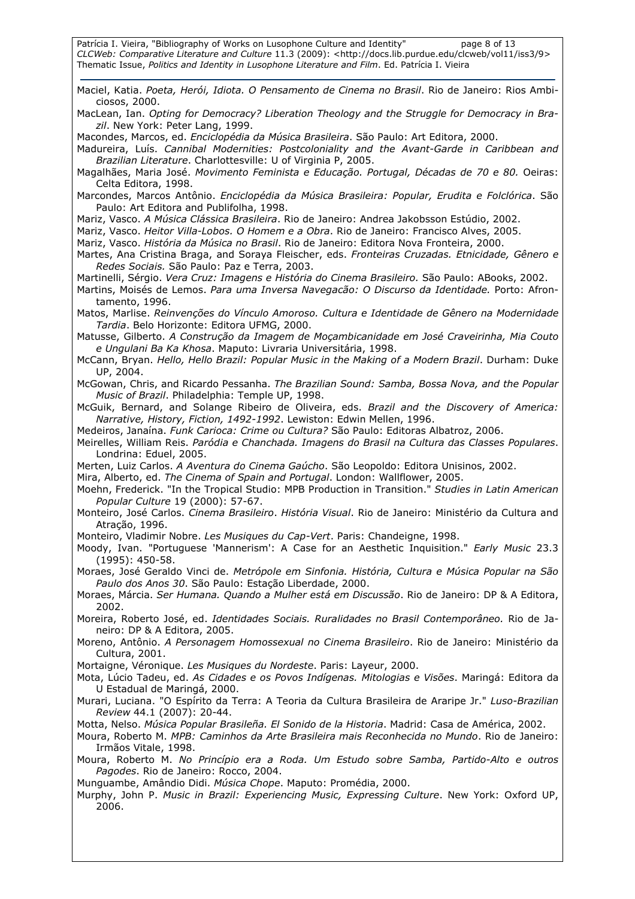Maciel, Katia. Poeta, Herói, Idiota. O Pensamento de Cinema no Brasil. Rio de Janeiro: Rios Ambiciosos, 2000.

MacLean, Ian. Opting for Democracy? Liberation Theology and the Struggle for Democracy in Brazil. New York: Peter Lang, 1999.

Macondes, Marcos, ed. Enciclopédia da Música Brasileira. São Paulo: Art Editora, 2000.

Madureira, Luís. Cannibal Modernities: Postcoloniality and the Avant-Garde in Caribbean and Brazilian Literature. Charlottesville: U of Virginia P, 2005.

Magalhães, Maria José. Movimento Feminista e Educação. Portugal, Décadas de 70 e 80. Oeiras: Celta Editora, 1998.

Marcondes, Marcos Antônio. Enciclopédia da Música Brasileira: Popular, Erudita e Folclórica. São Paulo: Art Editora and Publifolha, 1998.

Mariz, Vasco. A Música Clássica Brasileira. Rio de Janeiro: Andrea Jakobsson Estúdio, 2002.

Mariz, Vasco. Heitor Villa-Lobos. O Homem e a Obra. Rio de Janeiro: Francisco Alves, 2005.

Mariz, Vasco. História da Música no Brasil. Rio de Janeiro: Editora Nova Fronteira, 2000.

Martes, Ana Cristina Braga, and Soraya Fleischer, eds. Fronteiras Cruzadas. Etnicidade, Gênero e Redes Sociais. São Paulo: Paz e Terra, 2003.

Martinelli, Sérgio. Vera Cruz: Imagens e História do Cinema Brasileiro. São Paulo: ABooks, 2002.

- Martins, Moisés de Lemos. Para uma Inversa Navegação: O Discurso da Identidade. Porto: Afrontamento, 1996.
- Matos, Marlise. Reinvenções do Vínculo Amoroso. Cultura e Identidade de Gênero na Modernidade Tardia. Belo Horizonte: Editora UFMG, 2000.

Matusse, Gilberto. A Construção da Imagem de Moçambicanidade em José Craveirinha, Mia Couto e Ungulani Ba Ka Khosa. Maputo: Livraria Universitária, 1998.

McCann, Bryan. Hello, Hello Brazil: Popular Music in the Making of a Modern Brazil. Durham: Duke UP, 2004.

McGowan, Chris, and Ricardo Pessanha. The Brazilian Sound: Samba, Bossa Nova, and the Popular Music of Brazil. Philadelphia: Temple UP, 1998.

McGuik, Bernard, and Solange Ribeiro de Oliveira, eds. Brazil and the Discovery of America: Narrative, History, Fiction, 1492-1992. Lewiston: Edwin Mellen, 1996.

Medeiros, Janaína. Funk Carioca: Crime ou Cultura? São Paulo: Editoras Albatroz, 2006.

- Meirelles, William Reis. Paródia e Chanchada. Imagens do Brasil na Cultura das Classes Populares. Londrina: Eduel, 2005.
- Merten, Luiz Carlos. A Aventura do Cinema Gaúcho. São Leopoldo: Editora Unisinos, 2002.

Mira, Alberto, ed. The Cinema of Spain and Portugal. London: Wallflower, 2005.

- Moehn, Frederick. "In the Tropical Studio: MPB Production in Transition." Studies in Latin American Popular Culture 19 (2000): 57-67.
- Monteiro, José Carlos. Cinema Brasileiro. História Visual. Rio de Janeiro: Ministério da Cultura and Atração, 1996.

Monteiro, Vladimir Nobre. Les Musiques du Cap-Vert. Paris: Chandeigne, 1998.

Moody, Ivan. "Portuguese 'Mannerism': A Case for an Aesthetic Inquisition." Early Music 23.3 (1995): 450-58.

Moraes, José Geraldo Vinci de. Metrópole em Sinfonia. História, Cultura e Música Popular na São Paulo dos Anos 30. São Paulo: Estação Liberdade, 2000.

Moraes, Márcia. Ser Humana. Quando a Mulher está em Discussão. Rio de Janeiro: DP & A Editora, 2002.

Moreira, Roberto José, ed. Identidades Sociais. Ruralidades no Brasil Contemporâneo. Rio de Janeiro: DP & A Editora, 2005.

Moreno, Antônio. A Personagem Homossexual no Cinema Brasileiro. Rio de Janeiro: Ministério da Cultura, 2001.

Mortaigne, Véronique. Les Musiques du Nordeste. Paris: Layeur, 2000.

- Mota, Lúcio Tadeu, ed. As Cidades e os Povos Indígenas. Mitologias e Visões. Maringá: Editora da U Estadual de Maringá, 2000.
- Murari, Luciana. "O Espírito da Terra: A Teoria da Cultura Brasileira de Araripe Jr." Luso-Brazilian Review 44.1 (2007): 20-44.

Motta, Nelso. Música Popular Brasileña. El Sonido de la Historia. Madrid: Casa de América, 2002.

Moura, Roberto M. MPB: Caminhos da Arte Brasileira mais Reconhecida no Mundo. Rio de Janeiro: Irmãos Vitale, 1998.

Moura, Roberto M. No Princípio era a Roda. Um Estudo sobre Samba, Partido-Alto e outros Pagodes. Rio de Janeiro: Rocco, 2004.

Munguambe, Amândio Didi. Música Chope. Maputo: Promédia, 2000.

Murphy, John P. Music in Brazil: Experiencing Music, Expressing Culture. New York: Oxford UP, 2006.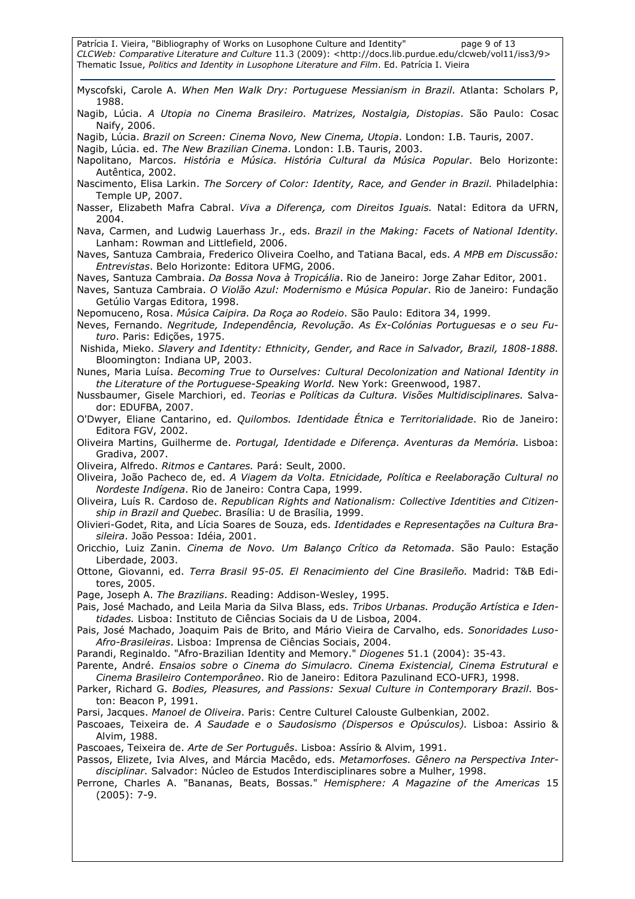Myscofski, Carole A. When Men Walk Dry: Portuguese Messianism in Brazil. Atlanta: Scholars P, 1988. Nagib, Lúcia. A Utopia no Cinema Brasileiro, Matrizes, Nostalgia, Distopias. São Paulo: Cosac Naify, 2006. Nagib, Lúcia. Brazil on Screen: Cinema Novo, New Cinema, Utopia. London: I.B. Tauris, 2007. Nagib, Lúcia. ed. The New Brazilian Cinema. London: I.B. Tauris, 2003. Napolitano, Marcos. História e Música. História Cultural da Música Popular. Belo Horizonte: Autêntica, 2002. Nascimento, Elisa Larkin. The Sorcery of Color: Identity, Race, and Gender in Brazil. Philadelphia: Temple UP, 2007. Nasser, Elizabeth Mafra Cabral. Viva a Diferença, com Direitos Iguais. Natal: Editora da UFRN, 2004. Nava, Carmen, and Ludwig Lauerhass Jr., eds. Brazil in the Making: Facets of National Identity. Lanham: Rowman and Littlefield, 2006. Naves, Santuza Cambraia, Frederico Oliveira Coelho, and Tatiana Bacal, eds. A MPB em Discussão: Entrevistas. Belo Horizonte: Editora UFMG, 2006. Naves, Santuza Cambraia. Da Bossa Nova à Tropicália. Rio de Janeiro: Jorge Zahar Editor, 2001. Naves, Santuza Cambraia. O Violão Azul: Modernismo e Música Popular. Rio de Janeiro: Fundação Getúlio Vargas Editora, 1998. Nepomuceno, Rosa. Música Caipira. Da Roça ao Rodeio. São Paulo: Editora 34, 1999. Neves, Fernando. Negritude, Independência, Revolução. As Ex-Colónias Portuguesas e o seu Futuro. Paris: Edições, 1975. Nishida, Mieko. Slavery and Identity: Ethnicity, Gender, and Race in Salvador, Brazil, 1808-1888. Bloomington: Indiana UP, 2003. Nunes, Maria Luísa. Becoming True to Ourselves: Cultural Decolonization and National Identity in the Literature of the Portuguese-Speaking World. New York: Greenwood, 1987. Nussbaumer, Gisele Marchiori, ed. Teorias e Políticas da Cultura. Visões Multidisciplinares. Salvador: EDUFBA, 2007. O'Dwyer, Eliane Cantarino, ed. Quilombos. Identidade Étnica e Territorialidade. Rio de Janeiro: Editora FGV, 2002. Oliveira Martins, Guilherme de. Portugal, Identidade e Diferença. Aventuras da Memória. Lisboa: Gradiva, 2007. Oliveira, Alfredo. Ritmos e Cantares. Pará: Seult, 2000. Oliveira, João Pacheco de, ed. A Viagem da Volta. Etnicidade, Política e Reelaboração Cultural no Nordeste Indígena. Rio de Janeiro: Contra Capa, 1999. Oliveira, Luís R. Cardoso de. Republican Rights and Nationalism: Collective Identities and Citizenship in Brazil and Quebec. Brasília: U de Brasília, 1999. Olivieri-Godet, Rita, and Lícia Soares de Souza, eds. Identidades e Representações na Cultura Brasileira. João Pessoa: Idéia, 2001. Oricchio, Luiz Zanin. Cinema de Novo. Um Balanço Crítico da Retomada. São Paulo: Estação Liberdade, 2003. Ottone, Giovanni, ed. Terra Brasil 95-05. El Renacimiento del Cine Brasileño. Madrid: T&B Editores, 2005. Page, Joseph A. The Brazilians. Reading: Addison-Wesley, 1995. Pais, José Machado, and Leila Maria da Silva Blass, eds. Tribos Urbanas. Produção Artística e Identidades. Lisboa: Instituto de Ciências Sociais da U de Lisboa, 2004. Pais, José Machado, Joaquim Pais de Brito, and Mário Vieira de Carvalho, eds. Sonoridades Luso-Afro-Brasileiras. Lisboa: Imprensa de Ciências Sociais, 2004. Parandi, Reginaldo. "Afro-Brazilian Identity and Memory." Diogenes 51.1 (2004): 35-43. Parente, André. Ensaios sobre o Cinema do Simulacro. Cinema Existencial, Cinema Estrutural e Cinema Brasileiro Contemporâneo. Rio de Janeiro: Editora Pazulinand ECO-UFRJ, 1998. Parker, Richard G. Bodies, Pleasures, and Passions: Sexual Culture in Contemporary Brazil. Boston: Beacon P, 1991. Parsi, Jacques. Manoel de Oliveira. Paris: Centre Culturel Calouste Gulbenkian, 2002. Pascoaes, Teixeira de. A Saudade e o Saudosismo (Dispersos e Opúsculos). Lisboa: Assirio & Alvim, 1988. Pascoaes, Teixeira de. Arte de Ser Português. Lisboa: Assírio & Alvim, 1991. Passos, Elizete, Ivia Alves, and Márcia Macêdo, eds. Metamorfoses. Gênero na Perspectiva Interdisciplinar. Salvador: Núcleo de Estudos Interdisciplinares sobre a Mulher, 1998. Perrone, Charles A. "Bananas, Beats, Bossas." Hemisphere: A Magazine of the Americas 15 (2005): 7-9.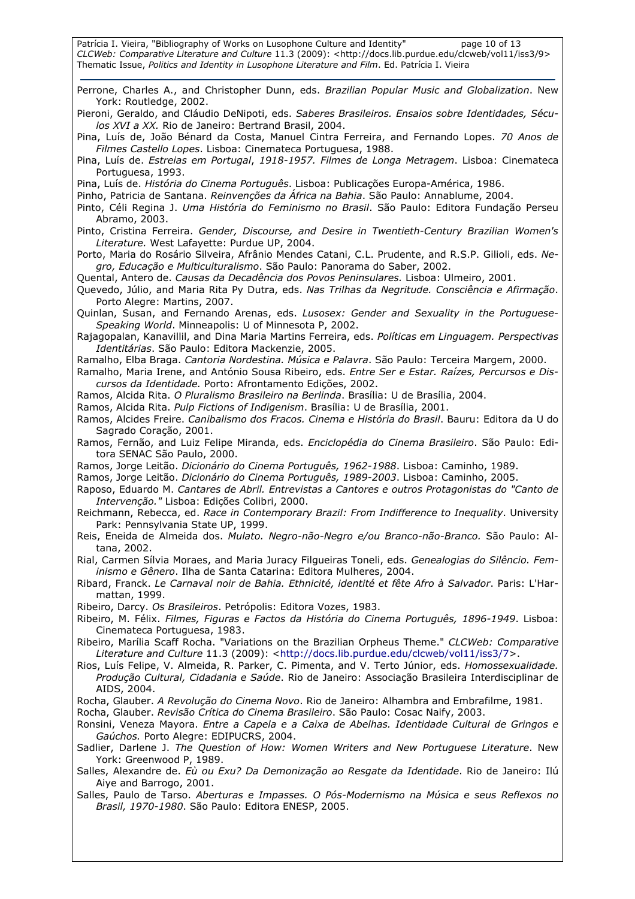Perrone, Charles A., and Christopher Dunn, eds. Brazilian Popular Music and Globalization. New York: Routledge, 2002.

- Pieroni, Geraldo, and Cláudio DeNipoti, eds. Saberes Brasileiros. Ensaios sobre Identidades, Séculos XVI a XX. Rio de Janeiro: Bertrand Brasil, 2004.
- Pina, Luís de, João Bénard da Costa, Manuel Cintra Ferreira, and Fernando Lopes. 70 Anos de Filmes Castello Lopes. Lisboa: Cinemateca Portuguesa, 1988.
- Pina, Luís de. Estreias em Portugal, 1918-1957. Filmes de Longa Metragem. Lisboa: Cinemateca Portuguesa, 1993.

Pina, Luís de. História do Cinema Português. Lisboa: Publicações Europa-América, 1986.

Pinho, Patricia de Santana. Reinvenções da África na Bahia. São Paulo: Annablume, 2004.

- Pinto, Céli Regina J. Uma História do Feminismo no Brasil. São Paulo: Editora Fundação Perseu Abramo, 2003.
- Pinto, Cristina Ferreira. Gender, Discourse, and Desire in Twentieth-Century Brazilian Women's Literature. West Lafayette: Purdue UP, 2004.
- Porto, Maria do Rosário Silveira, Afrânio Mendes Catani, C.L. Prudente, and R.S.P. Gilioli, eds. Negro, Educação e Multiculturalismo. São Paulo: Panorama do Saber, 2002.

Quental, Antero de. Causas da Decadência dos Povos Peninsulares. Lisboa: Ulmeiro, 2001.

- Quevedo, Júlio, and Maria Rita Py Dutra, eds. Nas Trilhas da Negritude. Consciência e Afirmação. Porto Alegre: Martins, 2007.
- Quinlan, Susan, and Fernando Arenas, eds. Lusosex: Gender and Sexuality in the Portuguese-Speaking World. Minneapolis: U of Minnesota P, 2002.
- Rajagopalan, Kanavillil, and Dina Maria Martins Ferreira, eds. Políticas em Linguagem. Perspectivas Identitárias. São Paulo: Editora Mackenzie, 2005.

Ramalho, Elba Braga. Cantoria Nordestina. Música e Palavra. São Paulo: Terceira Margem, 2000.

- Ramalho, Maria Irene, and António Sousa Ribeiro, eds. Entre Ser e Estar. Raízes, Percursos e Discursos da Identidade. Porto: Afrontamento Edições, 2002.
- Ramos, Alcida Rita. O Pluralismo Brasileiro na Berlinda. Brasília: U de Brasília, 2004.

Ramos, Alcida Rita. Pulp Fictions of Indigenism. Brasília: U de Brasília, 2001.

- Ramos, Alcides Freire. Canibalismo dos Fracos. Cinema e História do Brasil. Bauru: Editora da U do Sagrado Coração, 2001.
- Ramos, Fernão, and Luiz Felipe Miranda, eds. Enciclopédia do Cinema Brasileiro. São Paulo: Editora SENAC São Paulo, 2000.
- Ramos, Jorge Leitão. Dicionário do Cinema Português, 1962-1988. Lisboa: Caminho, 1989.

Ramos, Jorge Leitão. Dicionário do Cinema Português, 1989-2003. Lisboa: Caminho, 2005.

- Raposo, Eduardo M. Cantares de Abril. Entrevistas a Cantores e outros Protagonistas do "Canto de Intervenção." Lisboa: Edições Colibri, 2000.
- Reichmann, Rebecca, ed. Race in Contemporary Brazil: From Indifference to Inequality. University Park: Pennsylvania State UP, 1999.
- Reis, Eneida de Almeida dos. Mulato. Negro-não-Negro e/ou Branco-não-Branco. São Paulo: Altana, 2002.
- Rial, Carmen Sílvia Moraes, and Maria Juracy Filgueiras Toneli, eds. Genealogias do Silêncio. Feminismo e Gênero. Ilha de Santa Catarina: Editora Mulheres, 2004.
- Ribard, Franck. Le Carnaval noir de Bahia. Ethnicité, identité et fête Afro à Salvador. Paris: L'Harmattan, 1999.
- Ribeiro, Darcy. Os Brasileiros. Petrópolis: Editora Vozes, 1983.
- Ribeiro, M. Félix. Filmes, Figuras e Factos da História do Cinema Português, 1896-1949. Lisboa: Cinemateca Portuguesa, 1983.
- Ribeiro, Marília Scaff Rocha. "Variations on the Brazilian Orpheus Theme." CLCWeb: Comparative Literature and Culture 11.3 (2009): <http://docs.lib.purdue.edu/clcweb/vol11/iss3/7>.
- Rios, Luís Felipe, V. Almeida, R. Parker, C. Pimenta, and V. Terto Júnior, eds. Homossexualidade. Produção Cultural, Cidadania e Saúde. Rio de Janeiro: Associação Brasileira Interdisciplinar de AIDS, 2004.
- Rocha, Glauber. A Revolução do Cinema Novo. Rio de Janeiro: Alhambra and Embrafilme, 1981.

Rocha, Glauber. Revisão Crítica do Cinema Brasileiro. São Paulo: Cosac Naify, 2003.

- Ronsini, Veneza Mayora. Entre a Capela e a Caixa de Abelhas. Identidade Cultural de Gringos e Gaúchos. Porto Alegre: EDIPUCRS, 2004.
- Sadlier, Darlene J. The Question of How: Women Writers and New Portuguese Literature. New York: Greenwood P, 1989.
- Salles, Alexandre de. Eù ou Exu? Da Demonização ao Resgate da Identidade. Rio de Janeiro: Ilú Aiye and Barrogo, 2001.
- Salles, Paulo de Tarso. Aberturas e Impasses. O Pós-Modernismo na Música e seus Reflexos no Brasil, 1970-1980. São Paulo: Editora ENESP, 2005.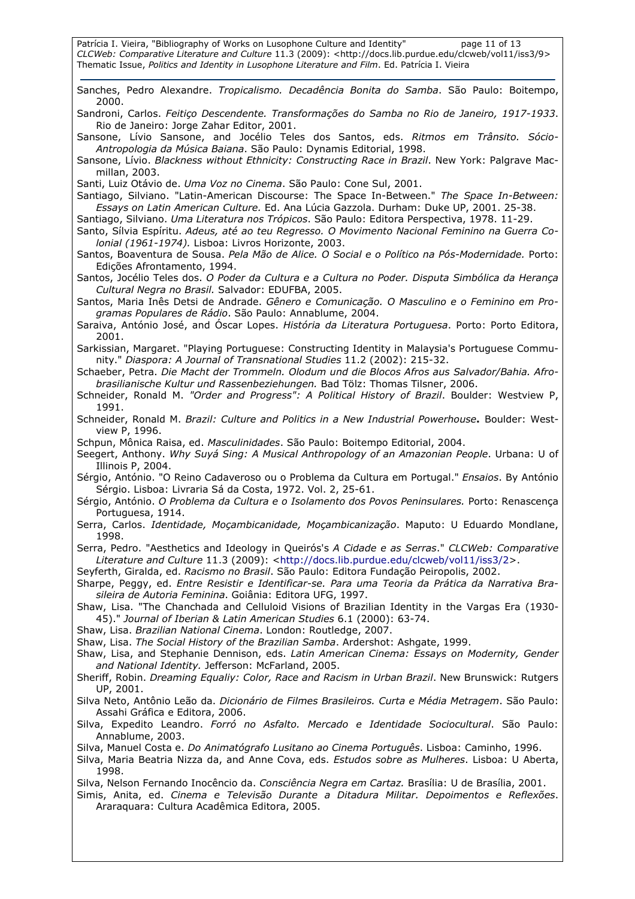Patrícia I. Vieira, "Bibliography of Works on Lusophone Culture and Identity" page 11 of 13 CLCWeb: Comparative Literature and Culture 11.3 (2009): <http://docs.lib.purdue.edu/clcweb/vol11/iss3/9> Thematic Issue, Politics and Identity in Lusophone Literature and Film. Ed. Patrícia I. Vieira

Sanches, Pedro Alexandre. Tropicalismo. Decadência Bonita do Samba. São Paulo: Boitempo, 2000.

- Sandroni, Carlos. Feitiço Descendente. Transformações do Samba no Rio de Janeiro, 1917-1933. Rio de Janeiro: Jorge Zahar Editor, 2001.
- Sansone, Lívio Sansone, and Jocélio Teles dos Santos, eds. Ritmos em Trânsito. Sócio-Antropologia da Música Baiana. São Paulo: Dynamis Editorial, 1998.
- Sansone, Lívio. Blackness without Ethnicity: Constructing Race in Brazil. New York: Palgrave Macmillan, 2003.

Santi, Luiz Otávio de. Uma Voz no Cinema. São Paulo: Cone Sul, 2001.

- Santiago, Silviano. "Latin-American Discourse: The Space In-Between." The Space In-Between: Essays on Latin American Culture. Ed. Ana Lúcia Gazzola. Durham: Duke UP, 2001. 25-38.
- Santiago, Silviano. Uma Literatura nos Trópicos. São Paulo: Editora Perspectiva, 1978. 11-29.
- Santo, Sílvia Espíritu. Adeus, até ao teu Regresso. O Movimento Nacional Feminino na Guerra Colonial (1961-1974). Lisboa: Livros Horizonte, 2003.
- Santos, Boaventura de Sousa. Pela Mão de Alice. O Social e o Político na Pós-Modernidade. Porto: Edições Afrontamento, 1994.
- Santos, Jocélio Teles dos. O Poder da Cultura e a Cultura no Poder. Disputa Simbólica da Herança Cultural Negra no Brasil. Salvador: EDUFBA, 2005.
- Santos, Maria Inês Detsi de Andrade. Gênero e Comunicação. O Masculino e o Feminino em Programas Populares de Rádio. São Paulo: Annablume, 2004.
- Saraiva, António José, and Óscar Lopes. História da Literatura Portuguesa. Porto: Porto Editora, 2001.
- Sarkissian, Margaret. "Playing Portuguese: Constructing Identity in Malaysia's Portuguese Community." Diaspora: A Journal of Transnational Studies 11.2 (2002): 215-32.
- Schaeber, Petra. Die Macht der Trommeln. Olodum und die Blocos Afros aus Salvador/Bahia. Afrobrasilianische Kultur und Rassenbeziehungen. Bad Tölz: Thomas Tilsner, 2006.
- Schneider, Ronald M. "Order and Progress": A Political History of Brazil. Boulder: Westview P, 1991.
- Schneider, Ronald M. Brazil: Culture and Politics in a New Industrial Powerhouse. Boulder: Westview P, 1996.
- Schpun, Mônica Raisa, ed. Masculinidades. São Paulo: Boitempo Editorial, 2004.
- Seegert, Anthony. Why Suyá Sing: A Musical Anthropology of an Amazonian People. Urbana: U of Illinois P, 2004.
- Sérgio, António. "O Reino Cadaveroso ou o Problema da Cultura em Portugal." Ensaios. By António Sérgio. Lisboa: Livraria Sá da Costa, 1972. Vol. 2, 25-61.
- Sérgio, António. O Problema da Cultura e o Isolamento dos Povos Peninsulares. Porto: Renascença Portuguesa, 1914.
- Serra, Carlos. Identidade, Moçambicanidade, Moçambicanização. Maputo: U Eduardo Mondlane, 1998.
- Serra, Pedro. "Aesthetics and Ideology in Queirós's A Cidade e as Serras." CLCWeb: Comparative Literature and Culture 11.3 (2009): <http://docs.lib.purdue.edu/clcweb/vol11/iss3/2>.

Seyferth, Giralda, ed. Racismo no Brasil. São Paulo: Editora Fundação Peiropolis, 2002.

- Sharpe, Peggy, ed. Entre Resistir e Identificar-se. Para uma Teoria da Prática da Narrativa Brasileira de Autoria Feminina. Goiânia: Editora UFG, 1997.
- Shaw, Lisa. "The Chanchada and Celluloid Visions of Brazilian Identity in the Vargas Era (1930- 45)." Journal of Iberian & Latin American Studies 6.1 (2000): 63-74.
- Shaw, Lisa. Brazilian National Cinema. London: Routledge, 2007.
- Shaw, Lisa. The Social History of the Brazilian Samba. Ardershot: Ashgate, 1999.
- Shaw, Lisa, and Stephanie Dennison, eds. Latin American Cinema: Essays on Modernity, Gender and National Identity. Jefferson: McFarland, 2005.
- Sheriff, Robin. Dreaming Equaliy: Color, Race and Racism in Urban Brazil. New Brunswick: Rutgers UP, 2001.
- Silva Neto, Antônio Leão da. Dicionário de Filmes Brasileiros. Curta e Média Metragem. São Paulo: Assahi Gráfica e Editora, 2006.
- Silva, Expedito Leandro. Forró no Asfalto. Mercado e Identidade Sociocultural. São Paulo: Annablume, 2003.
- Silva, Manuel Costa e. Do Animatógrafo Lusitano ao Cinema Português. Lisboa: Caminho, 1996. Silva, Maria Beatria Nizza da, and Anne Cova, eds. Estudos sobre as Mulheres. Lisboa: U Aberta, 1998.
- Silva, Nelson Fernando Inocêncio da. Consciência Negra em Cartaz. Brasília: U de Brasília, 2001.
- Simis, Anita, ed. Cinema e Televisão Durante a Ditadura Militar. Depoimentos e Reflexões. Araraquara: Cultura Acadêmica Editora, 2005.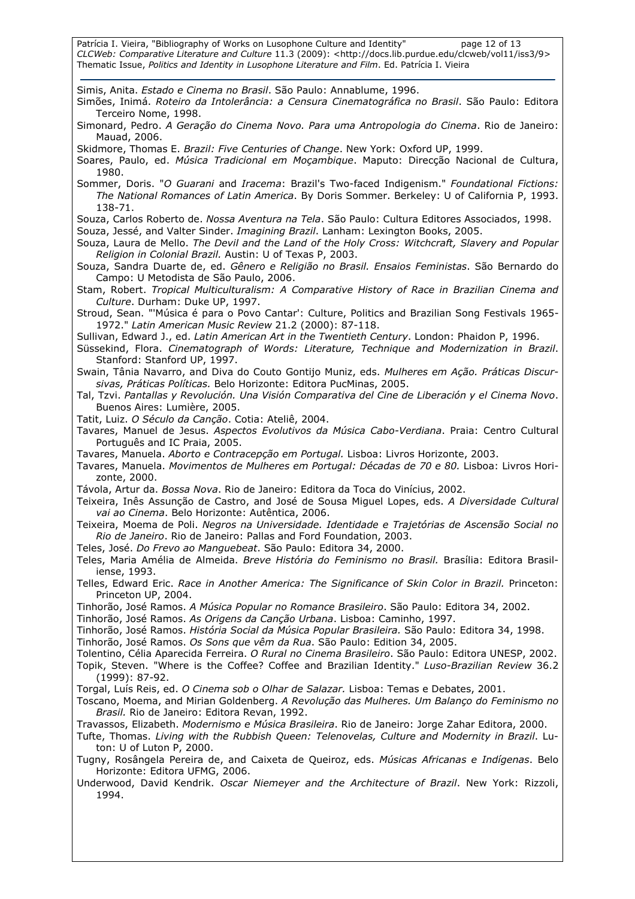Patrícia I. Vieira, "Bibliography of Works on Lusophone Culture and Identity" page 12 of 13 CLCWeb: Comparative Literature and Culture 11.3 (2009): <http://docs.lib.purdue.edu/clcweb/vol11/iss3/9> Thematic Issue, Politics and Identity in Lusophone Literature and Film. Ed. Patrícia I. Vieira

Simis, Anita. Estado e Cinema no Brasil. São Paulo: Annablume, 1996.

- Simões, Inimá. Roteiro da Intolerância: a Censura Cinematográfica no Brasil. São Paulo: Editora Terceiro Nome, 1998.
- Simonard, Pedro. A Geração do Cinema Novo. Para uma Antropologia do Cinema. Rio de Janeiro: Mauad, 2006.
- Skidmore, Thomas E. Brazil: Five Centuries of Change. New York: Oxford UP, 1999.
- Soares, Paulo, ed. Música Tradicional em Mocambique. Maputo: Direcção Nacional de Cultura, 1980.
- Sommer, Doris. "O Guarani and Iracema: Brazil's Two-faced Indigenism." Foundational Fictions: The National Romances of Latin America. By Doris Sommer. Berkeley: U of California P, 1993. 138-71.
- Souza, Carlos Roberto de. Nossa Aventura na Tela. São Paulo: Cultura Editores Associados, 1998.

Souza, Jessé, and Valter Sinder. Imagining Brazil. Lanham: Lexington Books, 2005.

- Souza, Laura de Mello. The Devil and the Land of the Holy Cross: Witchcraft, Slavery and Popular Religion in Colonial Brazil. Austin: U of Texas P, 2003.
- Souza, Sandra Duarte de, ed. Gênero e Religião no Brasil. Ensaios Feministas. São Bernardo do Campo: U Metodista de São Paulo, 2006.
- Stam, Robert. Tropical Multiculturalism: A Comparative History of Race in Brazilian Cinema and Culture. Durham: Duke UP, 1997.
- Stroud, Sean. "'Música é para o Povo Cantar': Culture, Politics and Brazilian Song Festivals 1965- 1972." Latin American Music Review 21.2 (2000): 87-118.
- Sullivan, Edward J., ed. Latin American Art in the Twentieth Century. London: Phaidon P, 1996.
- Süssekind, Flora. Cinematograph of Words: Literature, Technique and Modernization in Brazil. Stanford: Stanford UP, 1997.
- Swain, Tânia Navarro, and Diva do Couto Gontijo Muniz, eds. Mulheres em Ação. Práticas Discursivas, Práticas Políticas. Belo Horizonte: Editora PucMinas, 2005.
- Tal, Tzvi. Pantallas y Revolución. Una Visión Comparativa del Cine de Liberación y el Cinema Novo. Buenos Aires: Lumière, 2005.
- Tatit, Luiz. O Século da Canção. Cotia: Ateliê, 2004.
- Tavares, Manuel de Jesus. Aspectos Evolutivos da Música Cabo-Verdiana. Praia: Centro Cultural Português and IC Praia, 2005.
- Tavares, Manuela. Aborto e Contracepção em Portugal. Lisboa: Livros Horizonte, 2003.
- Tavares, Manuela. Movimentos de Mulheres em Portugal: Décadas de 70 e 80. Lisboa: Livros Horizonte, 2000.
- Távola, Artur da. Bossa Nova. Rio de Janeiro: Editora da Toca do Vinícius, 2002.
- Teixeira, Inês Assunção de Castro, and José de Sousa Miguel Lopes, eds. A Diversidade Cultural vai ao Cinema. Belo Horizonte: Autêntica, 2006.
- Teixeira, Moema de Poli. Negros na Universidade. Identidade e Trajetórias de Ascensão Social no Rio de Janeiro. Rio de Janeiro: Pallas and Ford Foundation, 2003.
- Teles, José. Do Frevo ao Manguebeat. São Paulo: Editora 34, 2000.
- Teles, Maria Amélia de Almeida. Breve História do Feminismo no Brasil. Brasília: Editora Brasiliense, 1993.
- Telles, Edward Eric. Race in Another America: The Significance of Skin Color in Brazil. Princeton: Princeton UP, 2004.
- Tinhorão, José Ramos. A Música Popular no Romance Brasileiro. São Paulo: Editora 34, 2002.

Tinhorão, José Ramos. As Origens da Canção Urbana. Lisboa: Caminho, 1997.

- Tinhorão, José Ramos. História Social da Música Popular Brasileira. São Paulo: Editora 34, 1998. Tinhorão, José Ramos. Os Sons que vêm da Rua. São Paulo: Edition 34, 2005.
- Tolentino, Célia Aparecida Ferreira. O Rural no Cinema Brasileiro. São Paulo: Editora UNESP, 2002. Topik, Steven. "Where is the Coffee? Coffee and Brazilian Identity." Luso-Brazilian Review 36.2 (1999): 87-92.
- Torgal, Luís Reis, ed. O Cinema sob o Olhar de Salazar. Lisboa: Temas e Debates, 2001.
- Toscano, Moema, and Mirian Goldenberg. A Revolução das Mulheres. Um Balanço do Feminismo no Brasil. Rio de Janeiro: Editora Revan, 1992.
- Travassos, Elizabeth. Modernismo e Música Brasileira. Rio de Janeiro: Jorge Zahar Editora, 2000.
- Tufte, Thomas. Living with the Rubbish Queen: Telenovelas, Culture and Modernity in Brazil. Luton: U of Luton P, 2000.
- Tugny, Rosângela Pereira de, and Caixeta de Queiroz, eds. Músicas Africanas e Indígenas. Belo Horizonte: Editora UFMG, 2006.
- Underwood, David Kendrik. Oscar Niemeyer and the Architecture of Brazil. New York: Rizzoli, 1994.